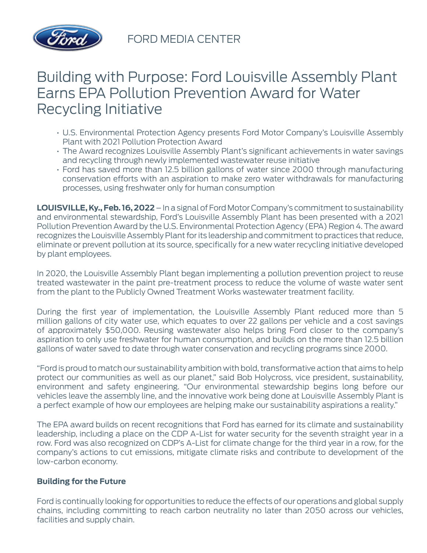

FORD MEDIA CENTER

## Building with Purpose: Ford Louisville Assembly Plant Earns EPA Pollution Prevention Award for Water Recycling Initiative

- U.S. Environmental Protection Agency presents Ford Motor Company's Louisville Assembly Plant with 2021 Pollution Protection Award
- The Award recognizes Louisville Assembly Plant's significant achievements in water savings and recycling through newly implemented wastewater reuse initiative
- Ford has saved more than 12.5 billion gallons of water since 2000 through manufacturing conservation efforts with an aspiration to make zero water withdrawals for manufacturing processes, using freshwater only for human consumption

**LOUISVILLE, Ky., Feb. 16, 2022** – In a signal of Ford Motor Company's commitment to sustainability and environmental stewardship, Ford's Louisville Assembly Plant has been presented with a 2021 Pollution Prevention Award by the U.S. Environmental Protection Agency (EPA) Region 4. The award recognizes the Louisville Assembly Plant for its leadership and commitment to practices that reduce, eliminate or prevent pollution at its source, specifically for a new water recycling initiative developed by plant employees.

In 2020, the Louisville Assembly Plant began implementing a pollution prevention project to reuse treated wastewater in the paint pre-treatment process to reduce the volume of waste water sent from the plant to the Publicly Owned Treatment Works wastewater treatment facility.

During the first year of implementation, the Louisville Assembly Plant reduced more than 5 million gallons of city water use, which equates to over 22 gallons per vehicle and a cost savings of approximately \$50,000. Reusing wastewater also helps bring Ford closer to the company's aspiration to only use freshwater for human consumption, and builds on the more than 12.5 billion gallons of water saved to date through water conservation and recycling programs since 2000.

"Ford is proud to match our sustainability ambition with bold, transformative action that aims to help protect our communities as well as our planet," said Bob Holycross, vice president, sustainability, environment and safety engineering. "Our environmental stewardship begins long before our vehicles leave the assembly line, and the innovative work being done at Louisville Assembly Plant is a perfect example of how our employees are helping make our sustainability aspirations a reality."

The EPA award builds on recent recognitions that Ford has earned for its climate and sustainability leadership, including a place on the CDP A-List for water security for the seventh straight year in a row. Ford was also recognized on CDP's A-List for climate change for the third year in a row, for the company's actions to cut emissions, mitigate climate risks and contribute to development of the low-carbon economy.

## **Building for the Future**

Ford is continually looking for opportunities to reduce the effects of our operations and global supply chains, including committing to reach carbon neutrality no later than 2050 across our vehicles, facilities and supply chain.